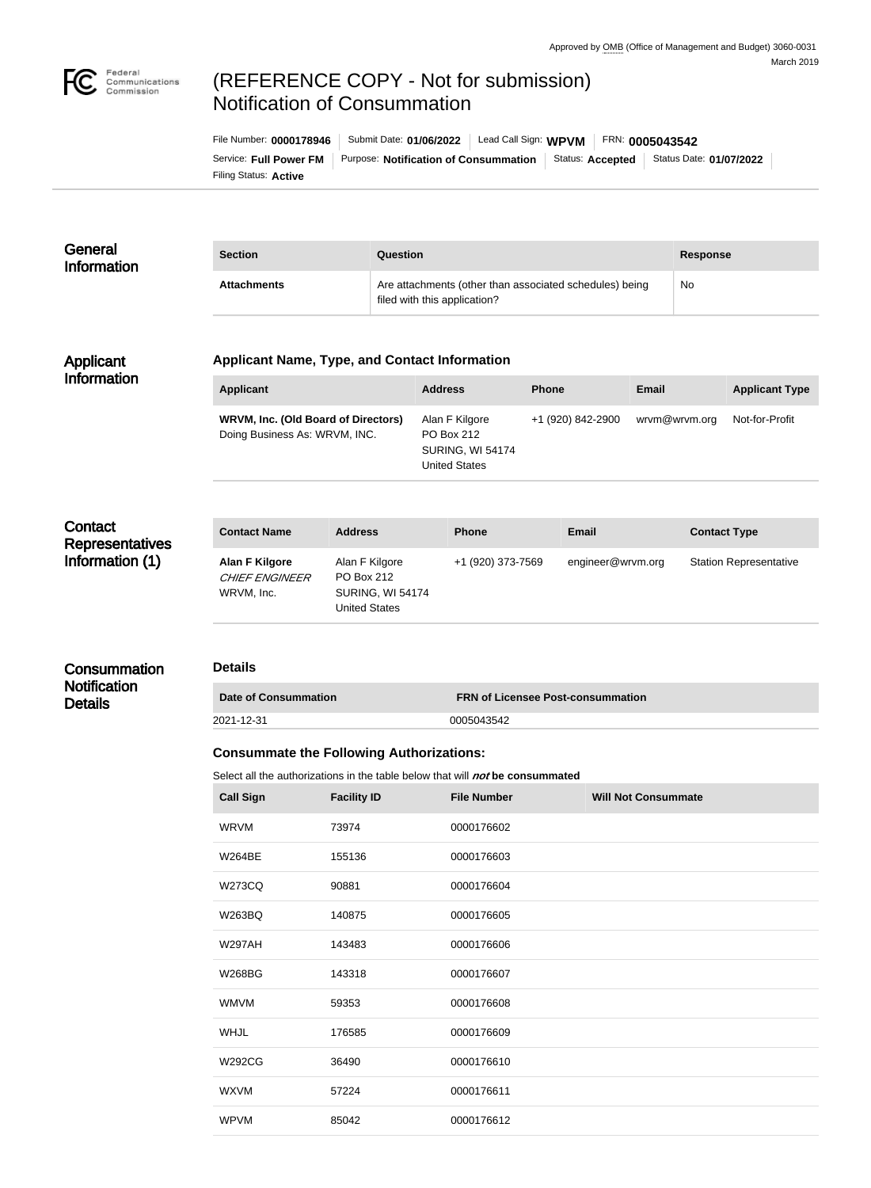

# (REFERENCE COPY - Not for submission) Notification of Consummation

Filing Status: **Active** Service: Full Power FM | Purpose: Notification of Consummation | Status: Accepted | Status Date: 01/07/2022 File Number: **0000178946** Submit Date: **01/06/2022** Lead Call Sign: **WPVM** FRN: **0005043542**

#### **General** Information **Section Question Response** Attachments **Attachments** Are attachments (other than associated schedules) being filed with this application? No

### Applicant Information

### **Applicant Name, Type, and Contact Information**

| <b>Applicant</b>                                                            | <b>Address</b>                                                                  | <b>Phone</b>      | Email         | <b>Applicant Type</b> |
|-----------------------------------------------------------------------------|---------------------------------------------------------------------------------|-------------------|---------------|-----------------------|
| <b>WRVM, Inc. (Old Board of Directors)</b><br>Doing Business As: WRVM, INC. | Alan F Kilgore<br>PO Box 212<br><b>SURING, WI 54174</b><br><b>United States</b> | +1 (920) 842-2900 | wrvm@wrvm.org | Not-for-Profit        |

# **Contact Representatives** Information (1)

| <b>Contact Name</b>                                   | <b>Address</b>                                                           | <b>Phone</b>      | Email             | <b>Contact Type</b>           |
|-------------------------------------------------------|--------------------------------------------------------------------------|-------------------|-------------------|-------------------------------|
| Alan F Kilgore<br><b>CHIEF ENGINEER</b><br>WRVM, Inc. | Alan F Kilgore<br>PO Box 212<br><b>SURING, WI 54174</b><br>United States | +1 (920) 373-7569 | engineer@wrvm.org | <b>Station Representative</b> |

# **Consummation**

**Notification** Details

#### **Details**

| Date of Consummation | <b>ERN of Licensee Post-consummation</b> |
|----------------------|------------------------------------------|
| 2021-12-31           | 0005043542                               |

### **Consummate the Following Authorizations:**

Select all the authorizations in the table below that will *not* be consummated

| <b>Call Sign</b> | <b>Facility ID</b> | <b>File Number</b> | <b>Will Not Consummate</b> |
|------------------|--------------------|--------------------|----------------------------|
| <b>WRVM</b>      | 73974              | 0000176602         |                            |
| <b>W264BE</b>    | 155136             | 0000176603         |                            |
| <b>W273CQ</b>    | 90881              | 0000176604         |                            |
| W263BQ           | 140875             | 0000176605         |                            |
| <b>W297AH</b>    | 143483             | 0000176606         |                            |
| <b>W268BG</b>    | 143318             | 0000176607         |                            |
| <b>WMVM</b>      | 59353              | 0000176608         |                            |
| <b>WHJL</b>      | 176585             | 0000176609         |                            |
| <b>W292CG</b>    | 36490              | 0000176610         |                            |
| <b>WXVM</b>      | 57224              | 0000176611         |                            |
| <b>WPVM</b>      | 85042              | 0000176612         |                            |